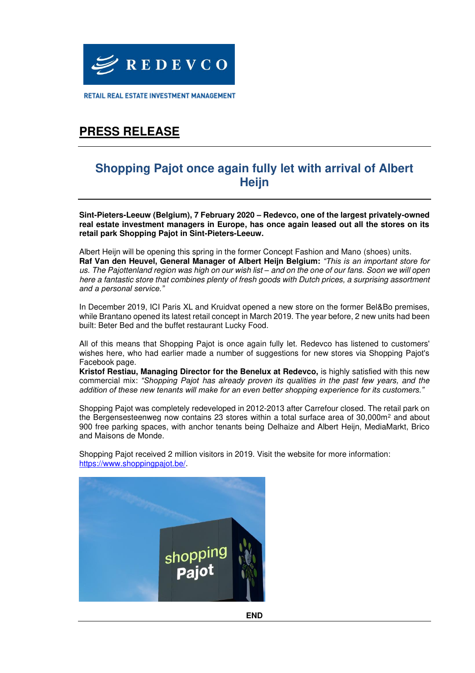

RETAIL REAL ESTATE INVESTMENT MANAGEMENT

# **PRESS RELEASE**

### **Shopping Pajot once again fully let with arrival of Albert Heijn**

**Sint-Pieters-Leeuw (Belgium), 7 February 2020 – Redevco, one of the largest privately-owned real estate investment managers in Europe, has once again leased out all the stores on its retail park Shopping Pajot in Sint-Pieters-Leeuw.** 

Albert Heijn will be opening this spring in the former Concept Fashion and Mano (shoes) units. **Raf Van den Heuvel, General Manager of Albert Heijn Belgium:** *"This is an important store for*  us. The Pajottenland region was high on our wish list *–* and on the one of our fans. Soon we will open here a fantastic store that combines plenty of fresh goods with Dutch prices, a surprising assortment *and a personal service."*

In December 2019, ICI Paris XL and Kruidvat opened a new store on the former Bel&Bo premises, while Brantano opened its latest retail concept in March 2019. The year before, 2 new units had been built: Beter Bed and the buffet restaurant Lucky Food.

All of this means that Shopping Pajot is once again fully let. Redevco has listened to customers' wishes here, who had earlier made a number of suggestions for new stores via Shopping Pajot's Facebook page.

**Kristof Restiau, Managing Director for the Benelux at Redevco,** is highly satisfied with this new commercial mix: *"Shopping Pajot* has already proven its qualities in the past few years, and the *addition of these new tenants will make for an even better shopping experience for its customers."* 

Shopping Pajot was completely redeveloped in 2012-2013 after Carrefour closed. The retail park on the Bergensesteenweg now contains 23 stores within a total surface area of 30,000m<sup>2</sup> and about 900 free parking spaces, with anchor tenants being Delhaize and Albert Heijn, MediaMarkt, Brico and Maisons de Monde.

Shopping Pajot received 2 million visitors in 2019. Visit the website for more information: [https://www.shoppingpajot.be/.](https://www.shoppingpajot.be/)